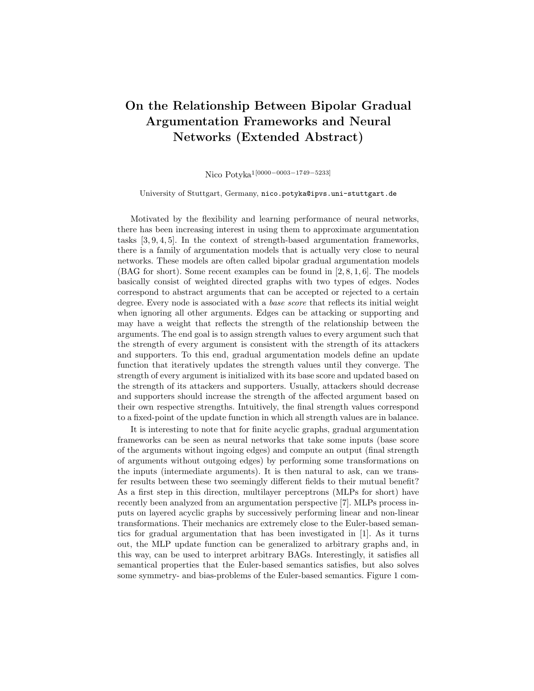## On the Relationship Between Bipolar Gradual Argumentation Frameworks and Neural Networks (Extended Abstract)

Nico Potyka1[0000−0003−1749−5233]

University of Stuttgart, Germany, nico.potyka@ipvs.uni-stuttgart.de

Motivated by the flexibility and learning performance of neural networks, there has been increasing interest in using them to approximate argumentation tasks [3, 9, 4, 5]. In the context of strength-based argumentation frameworks, there is a family of argumentation models that is actually very close to neural networks. These models are often called bipolar gradual argumentation models (BAG for short). Some recent examples can be found in [2, 8, 1, 6]. The models basically consist of weighted directed graphs with two types of edges. Nodes correspond to abstract arguments that can be accepted or rejected to a certain degree. Every node is associated with a base score that reflects its initial weight when ignoring all other arguments. Edges can be attacking or supporting and may have a weight that reflects the strength of the relationship between the arguments. The end goal is to assign strength values to every argument such that the strength of every argument is consistent with the strength of its attackers and supporters. To this end, gradual argumentation models define an update function that iteratively updates the strength values until they converge. The strength of every argument is initialized with its base score and updated based on the strength of its attackers and supporters. Usually, attackers should decrease and supporters should increase the strength of the affected argument based on their own respective strengths. Intuitively, the final strength values correspond to a fixed-point of the update function in which all strength values are in balance.

It is interesting to note that for finite acyclic graphs, gradual argumentation frameworks can be seen as neural networks that take some inputs (base score of the arguments without ingoing edges) and compute an output (final strength of arguments without outgoing edges) by performing some transformations on the inputs (intermediate arguments). It is then natural to ask, can we transfer results between these two seemingly different fields to their mutual benefit? As a first step in this direction, multilayer perceptrons (MLPs for short) have recently been analyzed from an argumentation perspective [7]. MLPs process inputs on layered acyclic graphs by successively performing linear and non-linear transformations. Their mechanics are extremely close to the Euler-based semantics for gradual argumentation that has been investigated in [1]. As it turns out, the MLP update function can be generalized to arbitrary graphs and, in this way, can be used to interpret arbitrary BAGs. Interestingly, it satisfies all semantical properties that the Euler-based semantics satisfies, but also solves some symmetry- and bias-problems of the Euler-based semantics. Figure 1 com-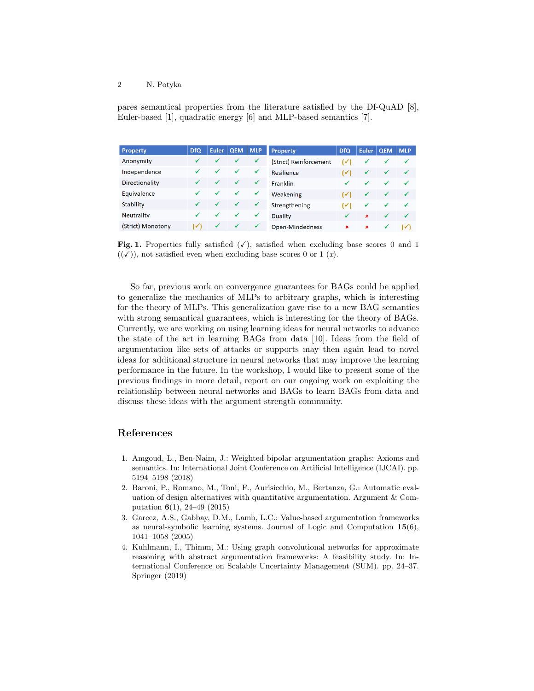## 2 N. Potyka

pares semantical properties from the literature satisfied by the Df-QuAD [8], Euler-based [1], quadratic energy [6] and MLP-based semantics [7].

| <b>Property</b>   | <b>DfQ</b>     | <b>Euler</b> | <b>QEM</b>   | <b>MLP</b>   | <b>Property</b>        | <b>DfQ</b>     | <b>Euler</b> | <b>QEM</b> | <b>MLP</b>     |
|-------------------|----------------|--------------|--------------|--------------|------------------------|----------------|--------------|------------|----------------|
| Anonymity         |                |              | $\checkmark$ | ✓            | (Strict) Reinforcement | $(\checkmark)$ | ✓            | ✓          | $\checkmark$   |
| Independence      |                | ✓            | ✓            | ✓            | Resilience             | ✓              | ✓            | ✓          | $\checkmark$   |
| Directionality    |                |              | ✓            | ✓            | <b>Franklin</b>        | ✔              | ✔            | ✓          | $\checkmark$   |
| Equivalence       |                | $\checkmark$ | ✓            | $\checkmark$ | Weakening              | ا ⁄ا           | ✓            | ✓          | $\checkmark$   |
| <b>Stability</b>  |                |              | ✓            | ✓            | Strengthening          | ι√             | ✓            | ✓          | $\checkmark$   |
| <b>Neutrality</b> |                |              | ✓            | $\checkmark$ | Duality                |                | $\mathbf{x}$ | ✓          | $\checkmark$   |
| (Strict) Monotony | $(\checkmark)$ | ✓            | ✓            | $\checkmark$ | Open-Mindedness        | ×              | $\mathbf x$  | ✔          | $(\checkmark)$ |

Fig. 1. Properties fully satisfied  $(\checkmark)$ , satisfied when excluding base scores 0 and 1  $((\checkmark))$ , not satisfied even when excluding base scores 0 or 1  $(x)$ .

So far, previous work on convergence guarantees for BAGs could be applied to generalize the mechanics of MLPs to arbitrary graphs, which is interesting for the theory of MLPs. This generalization gave rise to a new BAG semantics with strong semantical guarantees, which is interesting for the theory of BAGs. Currently, we are working on using learning ideas for neural networks to advance the state of the art in learning BAGs from data [10]. Ideas from the field of argumentation like sets of attacks or supports may then again lead to novel ideas for additional structure in neural networks that may improve the learning performance in the future. In the workshop, I would like to present some of the previous findings in more detail, report on our ongoing work on exploiting the relationship between neural networks and BAGs to learn BAGs from data and discuss these ideas with the argument strength community.

## References

- 1. Amgoud, L., Ben-Naim, J.: Weighted bipolar argumentation graphs: Axioms and semantics. In: International Joint Conference on Artificial Intelligence (IJCAI). pp. 5194–5198 (2018)
- 2. Baroni, P., Romano, M., Toni, F., Aurisicchio, M., Bertanza, G.: Automatic evaluation of design alternatives with quantitative argumentation. Argument & Computation 6(1), 24–49 (2015)
- 3. Garcez, A.S., Gabbay, D.M., Lamb, L.C.: Value-based argumentation frameworks as neural-symbolic learning systems. Journal of Logic and Computation 15(6), 1041–1058 (2005)
- 4. Kuhlmann, I., Thimm, M.: Using graph convolutional networks for approximate reasoning with abstract argumentation frameworks: A feasibility study. In: International Conference on Scalable Uncertainty Management (SUM). pp. 24–37. Springer (2019)